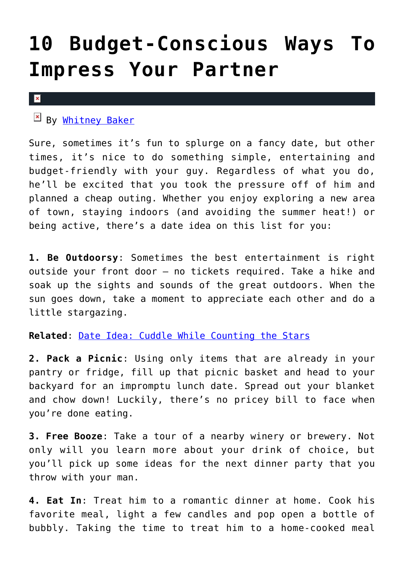## **[10 Budget-Conscious Ways To](https://cupidspulse.com/33612/budget-conscious-date-ideas/) [Impress Your Partner](https://cupidspulse.com/33612/budget-conscious-date-ideas/)**

## $\mathbf x$

By [Whitney Baker](http://cupidspulse.com/104601/whitney-johnson/)

Sure, sometimes it's fun to splurge on a fancy date, but other times, it's nice to do something simple, entertaining and budget-friendly with your guy. Regardless of what you do, he'll be excited that you took the pressure off of him and planned a cheap outing. Whether you enjoy exploring a new area of town, staying indoors (and avoiding the summer heat!) or being active, there's a date idea on this list for you:

**1. Be Outdoorsy**: Sometimes the best entertainment is right outside your front door — no tickets required. Take a hike and soak up the sights and sounds of the great outdoors. When the sun goes down, take a moment to appreciate each other and do a little stargazing.

**Related**: [Date Idea: Cuddle While Counting the Stars](http://cupidspulse.com/cuddle-while-counting-the-stars-weekend-date-idea-romantic-stargazing/)

**2. Pack a Picnic**: Using only items that are already in your pantry or fridge, fill up that picnic basket and head to your backyard for an impromptu lunch date. Spread out your blanket and chow down! Luckily, there's no pricey bill to face when you're done eating.

**3. Free Booze**: Take a tour of a nearby winery or brewery. Not only will you learn more about your drink of choice, but you'll pick up some ideas for the next dinner party that you throw with your man.

**4. Eat In**: Treat him to a romantic dinner at home. Cook his favorite meal, light a few candles and pop open a bottle of bubbly. Taking the time to treat him to a home-cooked meal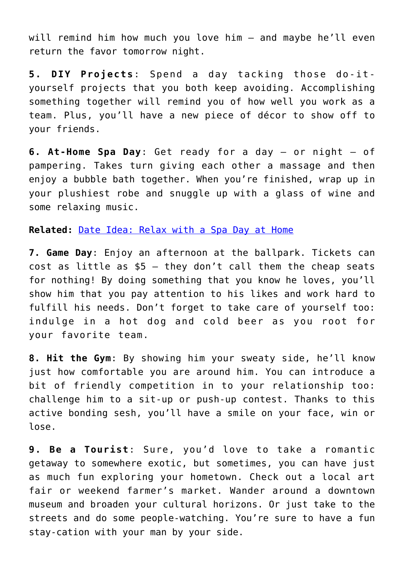will remind him how much you love him — and maybe he'll even return the favor tomorrow night.

**5 . DIY Projects**: Spend a day tacking those do-ityourself projects that you both keep avoiding. Accomplishing something together will remind you of how well you work as a team. Plus, you'll have a new piece of décor to show off to your friends.

**6. At-Home Spa Day**: Get ready for a day — or night — of pampering. Takes turn giving each other a massage and then enjoy a bubble bath together. When you're finished, wrap up in your plushiest robe and snuggle up with a glass of wine and some relaxing music.

**Related:** [Date Idea: Relax with a Spa Day at Home](http://cupidspulse.com/weekend-date-idea-relax-with-a-romantic-spa-day-at-home/)

**7. Game Day**: Enjoy an afternoon at the ballpark. Tickets can cost as little as  $$5 -$  they don't call them the cheap seats for nothing! By doing something that you know he loves, you'll show him that you pay attention to his likes and work hard to fulfill his needs. Don't forget to take care of yourself too: indulge in a hot dog and cold beer as you root for your favorite team.

**8. Hit the Gym**: By showing him your sweaty side, he'll know just how comfortable you are around him. You can introduce a bit of friendly competition in to your relationship too: challenge him to a sit-up or push-up contest. Thanks to this active bonding sesh, you'll have a smile on your face, win or lose.

**9. Be a Tourist**: Sure, you'd love to take a romantic getaway to somewhere exotic, but sometimes, you can have just as much fun exploring your hometown. Check out a local art fair or weekend farmer's market. Wander around a downtown museum and broaden your cultural horizons. Or just take to the streets and do some people-watching. You're sure to have a fun stay-cation with your man by your side.